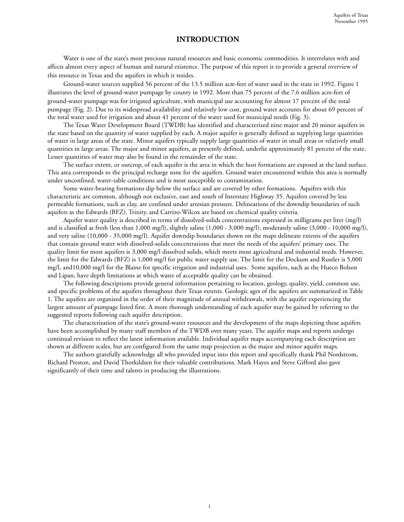### **INTRODUCTION**

Water is one of the state's most precious natural resources and basic economic commodities. It interrelates with and affects almost every aspect of human and natural existence. The purpose of this report is to provide a general overview of this resource in Texas and the aquifers in which it resides.

Ground-water sources supplied 56 percent of the 13.5 million acre-feet of water used in the state in 1992. Figure 1 illustrates the level of ground-water pumpage by county in 1992. More than 75 percent of the 7.6 million acre-feet of ground-water pumpage was for irrigated agriculture, with municipal use accounting for almost 17 percent of the total pumpage (Fig. 2). Due to its widespread availability and relatively low cost, ground water accounts for about 69 percent of the total water used for irrigation and about 41 percent of the water used for municipal needs (Fig. 3).

The Texas Water Development Board (TWDB) has identified and characterized nine major and 20 minor aquifers in the state based on the quantity of water supplied by each. A major aquifer is generally defined as supplying large quantities of water in large areas of the state. Minor aquifers typically supply large quantities of water in small areas or relatively small quantities in large areas. The major and minor aquifers, as presently defined, underlie approximately 81 percent of the state. Lesser quantities of water may also be found in the remainder of the state.

The surface extent, or outcrop, of each aquifer is the area in which the host formations are exposed at the land surface. This area corresponds to the principal recharge zone for the aquifers. Ground water encountered within this area is normally under unconfined, water-table conditions and is most susceptible to contamination.

Some water-bearing formations dip below the surface and are covered by other formations. Aquifers with this characteristic are common, although not exclusive, east and south of Interstate Highway 35. Aquifers covered by less permeable formations, such as clay, are confined under artesian pressure. Delineations of the downdip boundaries of such aquifers as the Edwards (BFZ), Trinity, and Carrizo-Wilcox are based on chemical quality criteria.

Aquifer water quality is described in terms of dissolved-solids concentrations expressed in milligrams per liter (mg/l) and is classified as fresh (less than 1,000 mg/l), slightly saline (1,000 - 3,000 mg/l), moderately saline (3,000 - 10,000 mg/l), and very saline (10,000 - 35,000 mg/l). Aquifer downdip boundaries shown on the maps delineate extents of the aquifers that contain ground water with dissolved-solids concentrations that meet the needs of the aquifers' primary uses. The quality limit for most aquifers is 3,000 mg/l dissolved solids, which meets most agricultural and industrial needs. However, the limit for the Edwards (BFZ) is 1,000 mg/l for public water supply use. The limit for the Dockum and Rustler is 5,000 mg/l, and10,000 mg/l for the Blaine for specific irrigation and industrial uses. Some aquifers, such as the Hueco Bolson and Lipan, have depth limitations at which water of acceptable quality can be obtained.

The following descriptions provide general information pertaining to location, geology, quality, yield, common use, and specific problems of the aquifers throughout their Texas extents. Geologic ages of the aquifers are summarized in Table 1. The aquifers are organized in the order of their magnitude of annual withdrawals, with the aquifer experiencing the largest amount of pumpage listed first. A more thorough understanding of each aquifer may be gained by referring to the suggested reports following each aquifer description.

The characterization of the state's ground-water resources and the development of the maps depicting these aquifers have been accomplished by many staff members of the TWDB over many years. The aquifer maps and reports undergo continual revision to reflect the latest information available. Individual aquifer maps accompanying each description are shown at different scales, but are configured from the same map projection as the major and minor aquifer maps.

The authors gratefully acknowledge all who provided input into this report and specifically thank Phil Nordstrom, Richard Preston, and David Thorkildsen for their valuable contributions. Mark Hayes and Steve Gifford also gave significantly of their time and talents in producing the illustrations.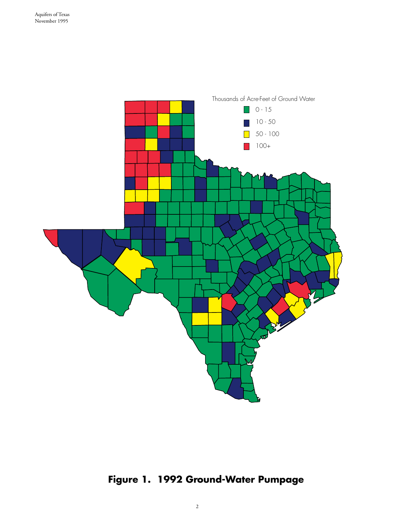

# **Figure 1. 1992 Ground-Water Pumpage**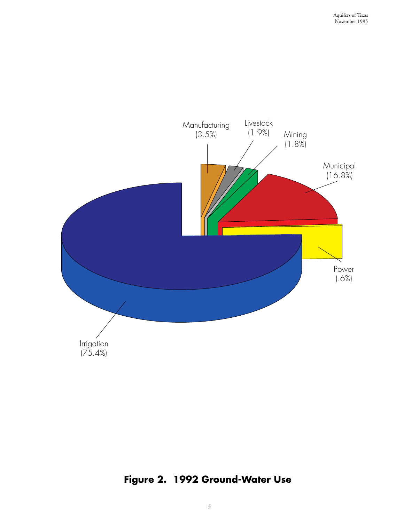

# **Figure 2. 1992 Ground-Water Use**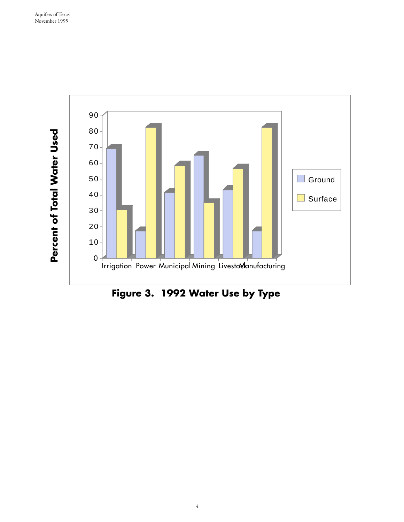

**Figure 3. 1992 Water Use by Type**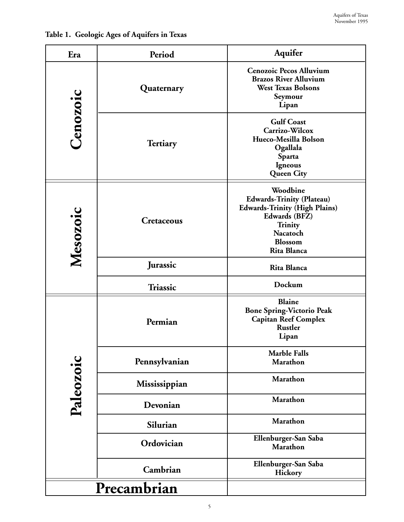| Era       | Period          | Aquifer                                                                                                                                                       |
|-----------|-----------------|---------------------------------------------------------------------------------------------------------------------------------------------------------------|
| Cenozoic  | Quaternary      | <b>Cenozoic Pecos Alluvium</b><br><b>Brazos River Alluvium</b><br><b>West Texas Bolsons</b><br>Seymour<br>Lipan                                               |
|           | <b>Tertiary</b> | <b>Gulf Coast</b><br>Carrizo-Wilcox<br>Hueco-Mesilla Bolson<br>Ogallala<br><b>Sparta</b><br>Igneous<br><b>Queen City</b>                                      |
| Mesozoic  | Cretaceous      | Woodbine<br><b>Edwards-Trinity (Plateau)</b><br><b>Edwards-Trinity (High Plains)</b><br>Edwards (BFZ)<br>Trinity<br><b>Nacatoch</b><br>Blossom<br>Rita Blanca |
|           | Jurassic        | Rita Blanca                                                                                                                                                   |
|           | Triassic        | Dockum                                                                                                                                                        |
| Paleozoic | Permian         | <b>Blaine</b><br><b>Bone Spring-Victorio Peak</b><br><b>Capitan Reef Complex</b><br><b>Rustler</b><br>Lipan                                                   |
|           | Pennsylvanian   | <b>Marble Falls</b><br><b>Marathon</b>                                                                                                                        |
|           | Mississippian   | <b>Marathon</b>                                                                                                                                               |
|           | Devonian        | <b>Marathon</b>                                                                                                                                               |
|           | Silurian        | <b>Marathon</b>                                                                                                                                               |
|           | Ordovician      | Ellenburger-San Saba<br>Marathon                                                                                                                              |
|           | Cambrian        | Ellenburger-San Saba<br>Hickory                                                                                                                               |
|           | Precambrian     |                                                                                                                                                               |

### **Table 1. Geologic Ages of Aquifers in Texas**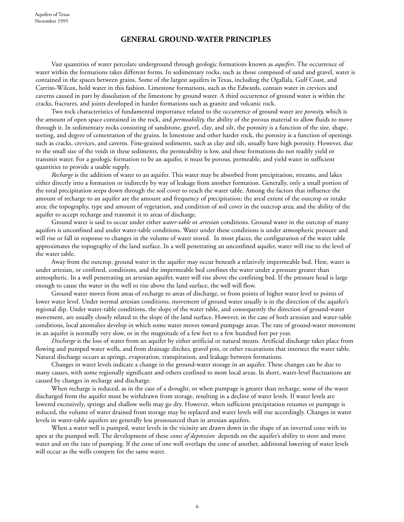#### **GENERAL GROUND-WATER PRINCIPLES**

Vast quantities of water percolate underground through geologic formations known as *aquifers*. The occurrence of water within the formations takes different forms. In sedimentary rocks, such as those composed of sand and gravel, water is contained in the spaces between grains. Some of the largest aquifers in Texas, including the Ogallala, Gulf Coast, and Carrizo-Wilcox, hold water in this fashion. Limestone formations, such as the Edwards, contain water in crevices and caverns caused in part by dissolution of the limestone by ground water. A third occurrence of ground water is within the cracks, fractures, and joints developed in harder formations such as granite and volcanic rock.

Two rock characteristics of fundamental importance related to the occurrence of ground water are *porosity,* which is the amount of open space contained in the rock, and *permeability,* the ability of the porous material to allow fluids to move through it. In sedimentary rocks consisting of sandstone, gravel, clay, and silt, the porosity is a function of the size, shape, sorting, and degree of cementation of the grains. In limestone and other harder rock, the porosity is a function of openings such as cracks, crevices, and caverns. Fine-grained sediments, such as clay and silt, usually have high porosity. However, due to the small size of the voids in these sediments, the permeability is low, and these formations do not readily yield or transmit water. For a geologic formation to be an aquifer, it must be porous, permeable, and yield water in sufficient quantities to provide a usable supply.

*Recharge* is the addition of water to an aquifer. This water may be absorbed from precipitation, streams, and lakes either directly into a formation or indirectly by way of leakage from another formation. Generally, only a small portion of the total precipitation seeps down through the soil cover to reach the water table. Among the factors that influence the amount of recharge to an aquifer are the amount and frequency of precipitation; the areal extent of the outcrop or intake area; the topography, type and amount of vegetation, and condition of soil cover in the outcrop area; and the ability of the aquifer to accept recharge and transmit it to areas of discharge.

Ground water is said to occur under either *water-table* or *artesian* conditions. Ground water in the outcrop of many aquifers is unconfined and under water-table conditions. Water under these conditions is under atmospheric pressure and will rise or fall in response to changes in the volume of water stored. In most places, the configuration of the water table approximates the topography of the land surface. In a well penetrating an unconfined aquifer, water will rise to the level of the water table.

Away from the outcrop, ground water in the aquifer may occur beneath a relatively impermeable bed. Here, water is under artesian, or confined, conditions, and the impermeable bed confines the water under a pressure greater than atmospheric. In a well penetrating an artesian aquifer, water will rise above the confining bed. If the pressure head is large enough to cause the water in the well to rise above the land surface, the well will flow.

Ground water moves from areas of recharge to areas of discharge, or from points of higher water level to points of lower water level. Under normal artesian conditions, movement of ground water usually is in the direction of the aquifer's regional dip. Under water-table conditions, the slope of the water table, and consequently the direction of ground-water movement, are usually closely related to the slope of the land surface. However, in the case of both artesian and water-table conditions, local anomalies develop in which some water moves toward pumpage areas. The rate of ground-water movement in an aquifer is normally very slow, or in the magnitude of a few feet to a few hundred feet per year.

*Discharge* is the loss of water from an aquifer by either artificial or natural means. Artificial discharge takes place from flowing and pumped water wells, and from drainage ditches, gravel pits, or other excavations that intersect the water table. Natural discharge occurs as springs, evaporation, transpiration, and leakage between formations.

Changes in water levels indicate a change in the ground-water storage in an aquifer. These changes can be due to many causes, with some regionally significant and others confined to more local areas. In short, water-level fluctuations are caused by changes in recharge and discharge.

When recharge is reduced, as in the case of a drought, or when pumpage is greater than recharge, some of the water discharged from the aquifer must be withdrawn from storage, resulting in a decline of water levels. If water levels are lowered excessively, springs and shallow wells may go dry. However, when sufficient precipitation resumes or pumpage is reduced, the volume of water drained from storage may be replaced and water levels will rise accordingly. Changes in water levels in water-table aquifers are generally less pronounced than in artesian aquifers.

When a water well is pumped, water levels in the vicinity are drawn down in the shape of an inverted cone with its apex at the pumped well. The development of these *cones of depression* depends on the aquifer's ability to store and move water and on the rate of pumping. If the cone of one well overlaps the cone of another, additional lowering of water levels will occur as the wells compete for the same water.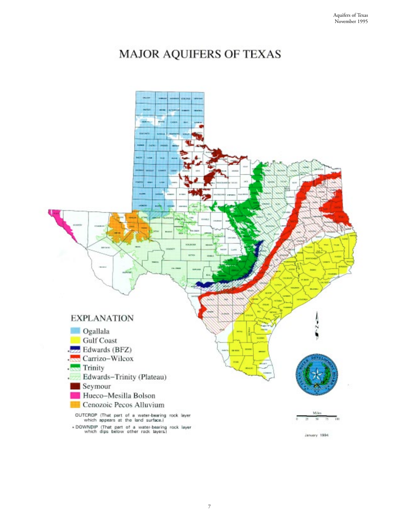# MAJOR AQUIFERS OF TEXAS